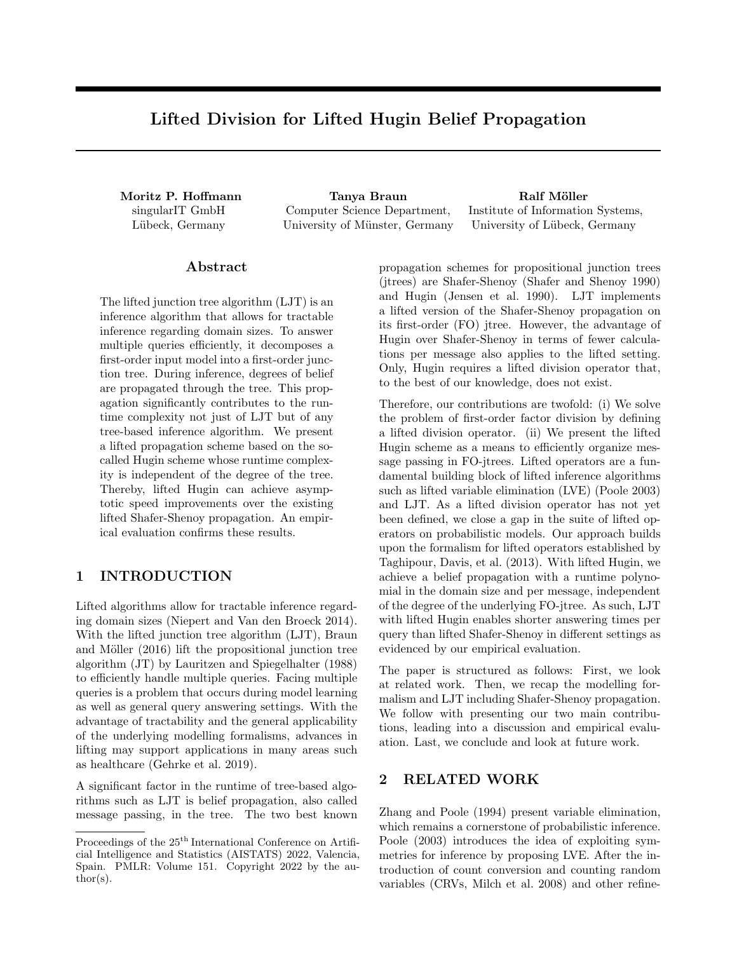# Lifted Division for Lifted Hugin Belief Propagation

singularIT GmbH Lübeck, Germany

Moritz P. Hoffmann Tanya Braun Tang Ralf Möller Computer Science Department, University of Münster, Germany

Institute of Information Systems, University of Lübeck, Germany

# ${\rm Abstract}$

The lifted junction tree algorithm (LJT) is an inference algorithm that allows for tractable inference regarding domain sizes. To answer multiple queries efficiently, it decomposes a first-order input model into a first-order junction tree. During inference, degrees of belief are propagated through the tree. This propagation significantly contributes to the runtime complexity not just of LJT but of any tree-based inference algorithm. We present a lifted propagation scheme based on the socalled Hugin scheme whose runtime complexity is independent of the degree of the tree. Thereby, lifted Hugin can achieve asymptotic speed improvements over the existing lifted Shafer-Shenoy propagation. An empirical evaluation confirms these results.

# 1 INTRODUCTION

Lifted algorithms allow for tractable inference regarding domain sizes (Niepert and Van den Broeck 2014). With the lifted junction tree algorithm (LJT), Braun and Möller  $(2016)$  lift the propositional junction tree algorithm (JT) by Lauritzen and Spiegelhalter (1988) to efficiently handle multiple queries. Facing multiple queries is a problem that occurs during model learning as well as general query answering settings. With the advantage of tractability and the general applicability of the underlying modelling formalisms, advances in lifting may support applications in many areas such as healthcare (Gehrke et al. 2019).

A significant factor in the runtime of tree-based algorithms such as LJT is belief propagation, also called message passing, in the tree. The two best known propagation schemes for propositional junction trees (jtrees) are Shafer-Shenoy (Shafer and Shenoy 1990) and Hugin (Jensen et al. 1990). LJT implements a lifted version of the Shafer-Shenoy propagation on its first-order (FO) jtree. However, the advantage of Hugin over Shafer-Shenoy in terms of fewer calculations per message also applies to the lifted setting. Only, Hugin requires a lifted division operator that, to the best of our knowledge, does not exist.

Therefore, our contributions are twofold: (i) We solve the problem of first-order factor division by defining a lifted division operator. (ii) We present the lifted Hugin scheme as a means to efficiently organize message passing in FO-jtrees. Lifted operators are a fundamental building block of lifted inference algorithms such as lifted variable elimination (LVE) (Poole 2003) and LJT. As a lifted division operator has not yet been defined, we close a gap in the suite of lifted operators on probabilistic models. Our approach builds upon the formalism for lifted operators established by Taghipour, Davis, et al. (2013). With lifted Hugin, we achieve a belief propagation with a runtime polynomial in the domain size and per message, independent of the degree of the underlying FO-jtree. As such, LJT with lifted Hugin enables shorter answering times per query than lifted Shafer-Shenoy in different settings as evidenced by our empirical evaluation.

The paper is structured as follows: First, we look at related work. Then, we recap the modelling formalism and LJT including Shafer-Shenoy propagation. We follow with presenting our two main contributions, leading into a discussion and empirical evaluation. Last, we conclude and look at future work.

### 2 RELATED WORK

Zhang and Poole (1994) present variable elimination, which remains a cornerstone of probabilistic inference. Poole (2003) introduces the idea of exploiting symmetries for inference by proposing LVE. After the introduction of count conversion and counting random variables (CRVs, Milch et al. 2008) and other refine-

Proceedings of the  $25<sup>th</sup>$  International Conference on Artificial Intelligence and Statistics (AISTATS) 2022, Valencia, Spain. PMLR: Volume 151. Copyright 2022 by the au- $\text{thor}(s)$ .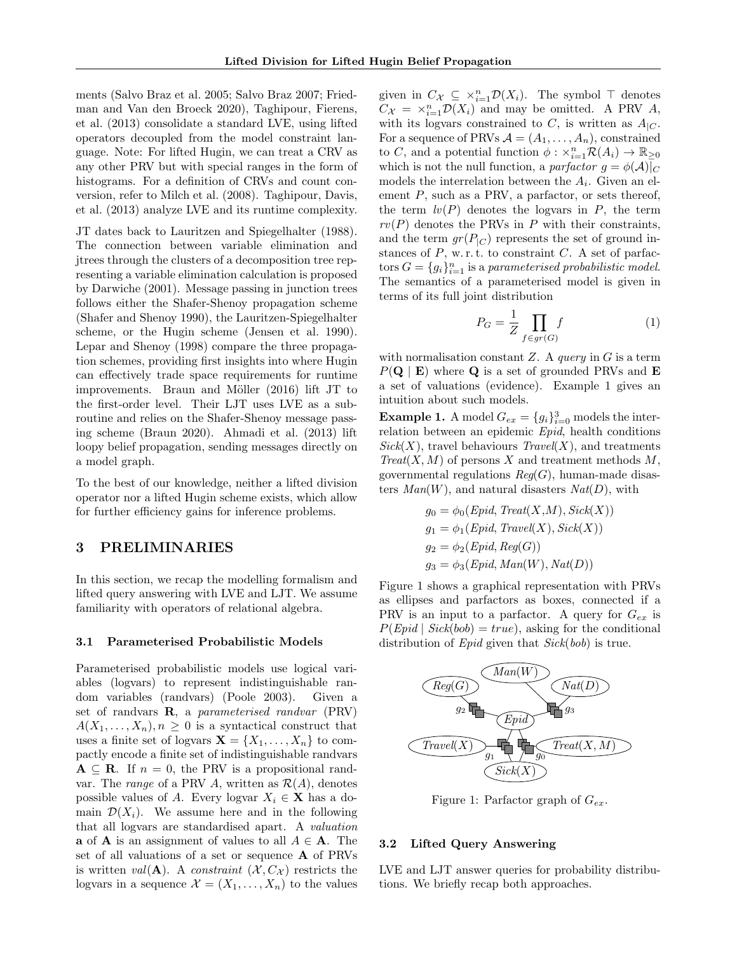ments (Salvo Braz et al. 2005; Salvo Braz 2007; Friedman and Van den Broeck 2020), Taghipour, Fierens, et al. (2013) consolidate a standard LVE, using lifted operators decoupled from the model constraint language. Note: For lifted Hugin, we can treat a CRV as any other PRV but with special ranges in the form of histograms. For a definition of CRVs and count conversion, refer to Milch et al. (2008). Taghipour, Davis, et al. (2013) analyze LVE and its runtime complexity.

JT dates back to Lauritzen and Spiegelhalter (1988). The connection between variable elimination and jtrees through the clusters of a decomposition tree representing a variable elimination calculation is proposed by Darwiche (2001). Message passing in junction trees follows either the Shafer-Shenoy propagation scheme (Shafer and Shenoy 1990), the Lauritzen-Spiegelhalter scheme, or the Hugin scheme (Jensen et al. 1990). Lepar and Shenoy (1998) compare the three propagation schemes, providing first insights into where Hugin can effectively trade space requirements for runtime improvements. Braun and Möller  $(2016)$  lift JT to the first-order level. Their LJT uses LVE as a subroutine and relies on the Shafer-Shenoy message passing scheme (Braun 2020). Ahmadi et al. (2013) lift loopy belief propagation, sending messages directly on a model graph.

To the best of our knowledge, neither a lifted division operator nor a lifted Hugin scheme exists, which allow for further efficiency gains for inference problems.

# 3 PRELIMINARIES

In this section, we recap the modelling formalism and lifted query answering with LVE and LJT. We assume familiarity with operators of relational algebra.

#### 3.1 Parameterised Probabilistic Models

Parameterised probabilistic models use logical variables (logvars) to represent indistinguishable random variables (randvars) (Poole 2003). Given a set of randvars  $\bf{R}$ , a parameterised randvar (PRV)  $A(X_1, \ldots, X_n), n \geq 0$  is a syntactical construct that uses a finite set of logvars  $\mathbf{X} = \{X_1, \ldots, X_n\}$  to compactly encode a finite set of indistinguishable randvars  $A \subseteq R$ . If  $n = 0$ , the PRV is a propositional randvar. The *range* of a PRV A, written as  $\mathcal{R}(A)$ , denotes possible values of A. Every logvar  $X_i \in \mathbf{X}$  has a domain  $\mathcal{D}(X_i)$ . We assume here and in the following that all logvars are standardised apart. A valuation **a** of **A** is an assignment of values to all  $A \in \mathbf{A}$ . The set of all valuations of a set or sequence A of PRVs is written val( $\bf{A}$ ). A constraint  $(X, C_X)$  restricts the logvars in a sequence  $\mathcal{X} = (X_1, \ldots, X_n)$  to the values

given in  $C_{\mathcal{X}} \subseteq \times_{i=1}^n \mathcal{D}(X_i)$ . The symbol  $\top$  denotes  $C_{\mathcal{X}} = \times_{i=1}^{n} \mathcal{D}(X_i)$  and may be omitted. A PRV A, with its logvars constrained to C, is written as  $A_{|C}$ . For a sequence of PRVs  $A = (A_1, \ldots, A_n)$ , constrained to C, and a potential function  $\phi: \times_{i=1}^n \mathcal{R}(A_i) \to \mathbb{R}_{\geq 0}$ which is not the null function, a parfactor  $g = \phi(\mathcal{A})|_C$ models the interrelation between the  $A_i$ . Given an element  $P$ , such as a PRV, a parfactor, or sets thereof, the term  $lv(P)$  denotes the logvars in P, the term  $rv(P)$  denotes the PRVs in P with their constraints, and the term  $gr(P_{|C})$  represents the set of ground instances of  $P$ , w. r. t. to constraint  $C$ . A set of parfactors  $G = \{g_i\}_{i=1}^n$  is a parameterised probabilistic model. The semantics of a parameterised model is given in terms of its full joint distribution

$$
P_G = \frac{1}{Z} \prod_{f \in gr(G)} f \tag{1}
$$

with normalisation constant  $Z$ . A *query* in  $G$  is a term  $P(\mathbf{Q} \mid \mathbf{E})$  where **Q** is a set of grounded PRVs and **E** a set of valuations (evidence). Example 1 gives an intuition about such models.

**Example 1.** A model  $G_{ex} = \{g_i\}_{i=0}^3$  models the interrelation between an epidemic Epid, health conditions  $Sick(X)$ , travel behaviours  $Travel(X)$ , and treatments  $Treat(X, M)$  of persons X and treatment methods M, governmental regulations  $Reg(G)$ , human-made disasters  $Man(W)$ , and natural disasters  $Nat(D)$ , with

$$
g_0 = \phi_0(Epid, Treat(X, M), Sick(X))
$$
  
\n
$$
g_1 = \phi_1(Epid, Travel(X), Sick(X))
$$
  
\n
$$
g_2 = \phi_2(Epid, Reg(G))
$$
  
\n
$$
g_3 = \phi_3(Epid, Man(W), Nat(D))
$$

Figure 1 shows a graphical representation with PRVs as ellipses and parfactors as boxes, connected if a PRV is an input to a parfactor. A query for  $G_{ex}$  is  $P(Epid | Sick(bob) = true)$ , asking for the conditional distribution of *Epid* given that *Sick(bob)* is true.



Figure 1: Parfactor graph of  $G_{ex}$ .

#### 3.2 Lifted Query Answering

LVE and LJT answer queries for probability distributions. We briefly recap both approaches.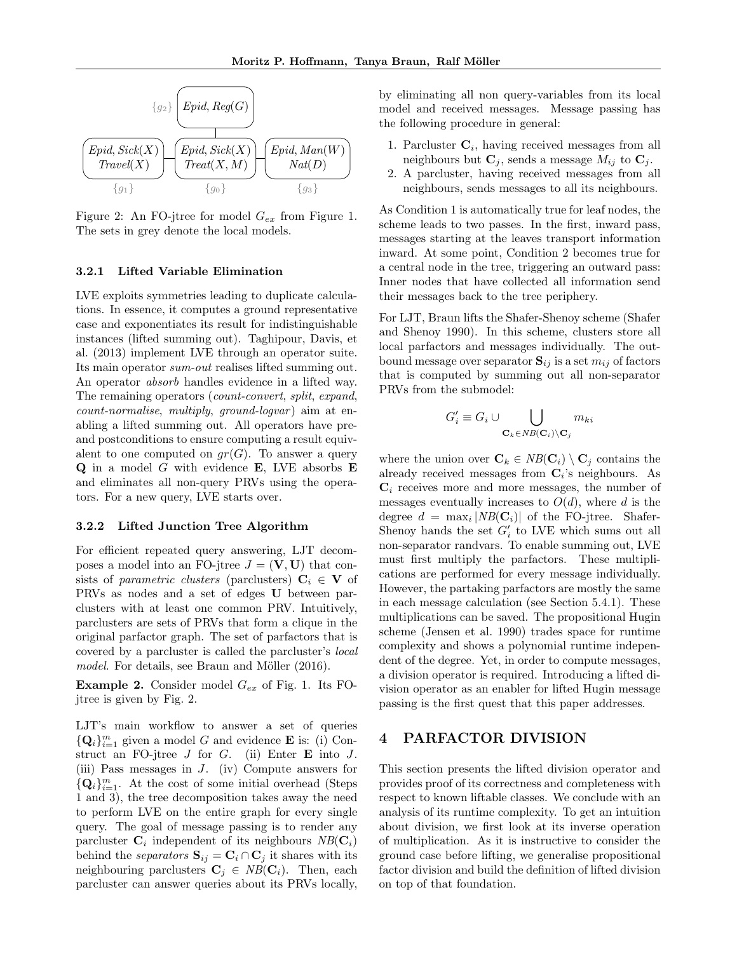

Figure 2: An FO-jtree for model  $G_{ex}$  from Figure 1. The sets in grey denote the local models.

### 3.2.1 Lifted Variable Elimination

LVE exploits symmetries leading to duplicate calculations. In essence, it computes a ground representative case and exponentiates its result for indistinguishable instances (lifted summing out). Taghipour, Davis, et al. (2013) implement LVE through an operator suite. Its main operator sum-out realises lifted summing out. An operator absorb handles evidence in a lifted way. The remaining operators (count-convert, split, expand,  $count-normalise, multiply, ground-logvar)$  aim at enabling a lifted summing out. All operators have preand postconditions to ensure computing a result equivalent to one computed on  $qr(G)$ . To answer a query  $Q$  in a model  $G$  with evidence E, LVE absorbs E and eliminates all non-query PRVs using the operators. For a new query, LVE starts over.

#### 3.2.2 Lifted Junction Tree Algorithm

For efficient repeated query answering, LJT decomposes a model into an FO-jtree  $J = (\mathbf{V}, \mathbf{U})$  that consists of parametric clusters (parclusters)  $C_i \in V$  of PRVs as nodes and a set of edges U between parclusters with at least one common PRV. Intuitively, parclusters are sets of PRVs that form a clique in the original parfactor graph. The set of parfactors that is covered by a parcluster is called the parcluster's local  $model.$  For details, see Braun and Möller  $(2016).$ 

**Example 2.** Consider model  $G_{ex}$  of Fig. 1. Its FOjtree is given by Fig. 2.

LJT's main workflow to answer a set of queries  ${Q_i}_{i=1}^m$  given a model G and evidence **E** is: (i) Construct an FO-jtree  $J$  for  $G$ . (ii) Enter  $E$  into  $J$ . (iii) Pass messages in J. (iv) Compute answers for  ${Q_i}_{i=1}^m$ . At the cost of some initial overhead (Steps 1 and 3), the tree decomposition takes away the need to perform LVE on the entire graph for every single query. The goal of message passing is to render any parcluster  $\mathbf{C}_i$  independent of its neighbours  $NB(\mathbf{C}_i)$ behind the *separators*  $\mathbf{S}_{ij} = \mathbf{C}_i \cap \mathbf{C}_j$  it shares with its neighbouring parclusters  $\mathbf{C}_j \in NB(\mathbf{C}_i)$ . Then, each parcluster can answer queries about its PRVs locally,

by eliminating all non query-variables from its local model and received messages. Message passing has the following procedure in general:

- 1. Parcluster  $C_i$ , having received messages from all neighbours but  $\mathbf{C}_j$ , sends a message  $M_{ij}$  to  $\mathbf{C}_j$ .
- 2. A parcluster, having received messages from all neighbours, sends messages to all its neighbours.

As Condition 1 is automatically true for leaf nodes, the scheme leads to two passes. In the first, inward pass, messages starting at the leaves transport information inward. At some point, Condition 2 becomes true for a central node in the tree, triggering an outward pass: Inner nodes that have collected all information send their messages back to the tree periphery.

For LJT, Braun lifts the Shafer-Shenoy scheme (Shafer and Shenoy 1990). In this scheme, clusters store all local parfactors and messages individually. The outbound message over separator  $S_{ij}$  is a set  $m_{ij}$  of factors that is computed by summing out all non-separator PRVs from the submodel:

$$
G'_i \equiv G_i \cup \bigcup_{\mathbf{C}_k \in NB(\mathbf{C}_i) \setminus \mathbf{C}_j} m_{ki}
$$

where the union over  $\mathbf{C}_k \in NB(\mathbf{C}_i) \setminus \mathbf{C}_i$  contains the already received messages from  $C_i$ 's neighbours. As  $C_i$  receives more and more messages, the number of messages eventually increases to  $O(d)$ , where d is the degree  $d = \max_i |NB(\mathbf{C}_i)|$  of the FO-jtree. Shafer-Shenoy hands the set  $G'_{i}$  to LVE which sums out all non-separator randvars. To enable summing out, LVE must first multiply the parfactors. These multiplications are performed for every message individually. However, the partaking parfactors are mostly the same in each message calculation (see Section 5.4.1). These multiplications can be saved. The propositional Hugin scheme (Jensen et al. 1990) trades space for runtime complexity and shows a polynomial runtime independent of the degree. Yet, in order to compute messages, a division operator is required. Introducing a lifted division operator as an enabler for lifted Hugin message passing is the first quest that this paper addresses.

# 4 PARFACTOR DIVISION

This section presents the lifted division operator and provides proof of its correctness and completeness with respect to known liftable classes. We conclude with an analysis of its runtime complexity. To get an intuition about division, we first look at its inverse operation of multiplication. As it is instructive to consider the ground case before lifting, we generalise propositional factor division and build the definition of lifted division on top of that foundation.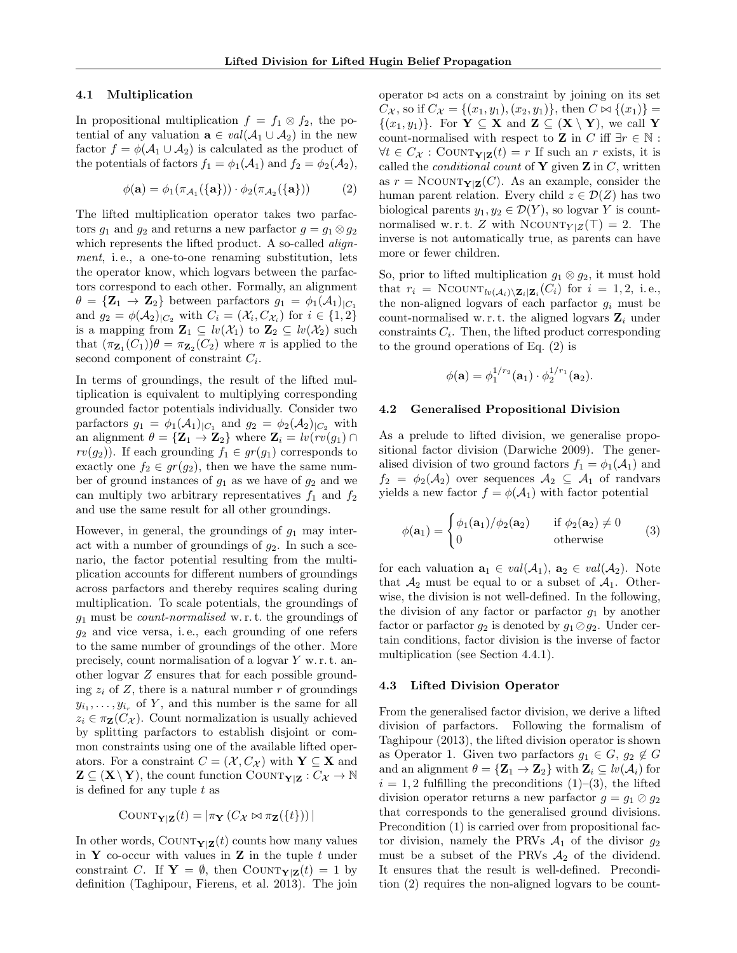#### 4.1 Multiplication

In propositional multiplication  $f = f_1 \otimes f_2$ , the potential of any valuation  $\mathbf{a} \in val(\mathcal{A}_1 \cup \mathcal{A}_2)$  in the new factor  $f = \phi(\mathcal{A}_1 \cup \mathcal{A}_2)$  is calculated as the product of the potentials of factors  $f_1 = \phi_1(\mathcal{A}_1)$  and  $f_2 = \phi_2(\mathcal{A}_2)$ ,

$$
\phi(\mathbf{a}) = \phi_1(\pi_{\mathcal{A}_1}(\{\mathbf{a}\})) \cdot \phi_2(\pi_{\mathcal{A}_2}(\{\mathbf{a}\})) \tag{2}
$$

The lifted multiplication operator takes two parfactors  $g_1$  and  $g_2$  and returns a new parfactor  $g = g_1 \otimes g_2$ which represents the lifted product. A so-called *align*ment, i.e., a one-to-one renaming substitution, lets the operator know, which logvars between the parfactors correspond to each other. Formally, an alignment  $\theta = {\mathbf{Z}_1 \rightarrow \mathbf{Z}_2}$  between parfactors  $g_1 = \phi_1(\mathcal{A}_1)_{|C_1|}$ and  $g_2 = \phi(A_2)|_{C_2}$  with  $C_i = (\mathcal{X}_i, C_{\mathcal{X}_i})$  for  $i \in \{1, 2\}$ is a mapping from  $\mathbf{Z}_1 \subseteq \text{lv}(\mathcal{X}_1)$  to  $\mathbf{Z}_2 \subseteq \text{lv}(\mathcal{X}_2)$  such that  $(\pi_{\mathbf{Z}_1}(C_1))\theta = \pi_{\mathbf{Z}_2}(C_2)$  where  $\pi$  is applied to the second component of constraint  $C_i$ .

In terms of groundings, the result of the lifted multiplication is equivalent to multiplying corresponding grounded factor potentials individually. Consider two parfactors  $g_1 = \phi_1(A_1)_{|C_1}$  and  $g_2 = \phi_2(A_2)_{|C_2}$  with an alignment  $\theta = {\mathbf{Z}_1 \rightarrow \mathbf{Z}_2}$  where  $\mathbf{Z}_i = \text{lv}(rv(g_1) \cap \mathbf{Z}_2)$  $rv(g_2)$ ). If each grounding  $f_1 \in gr(g_1)$  corresponds to exactly one  $f_2 \in gr(g_2)$ , then we have the same number of ground instances of  $g_1$  as we have of  $g_2$  and we can multiply two arbitrary representatives  $f_1$  and  $f_2$ and use the same result for all other groundings.

However, in general, the groundings of  $g_1$  may interact with a number of groundings of  $g_2$ . In such a scenario, the factor potential resulting from the multiplication accounts for different numbers of groundings across parfactors and thereby requires scaling during multiplication. To scale potentials, the groundings of  $g_1$  must be *count-normalised* w.r.t. the groundings of  $g_2$  and vice versa, i.e., each grounding of one refers to the same number of groundings of the other. More precisely, count normalisation of a logvar Y w. r. t. another logvar Z ensures that for each possible grounding  $z_i$  of Z, there is a natural number r of groundings  $y_{i_1}, \ldots, y_{i_r}$  of Y, and this number is the same for all  $z_i \in \pi_{\mathbf{Z}}(C_{\mathcal{X}})$ . Count normalization is usually achieved by splitting parfactors to establish disjoint or common constraints using one of the available lifted operators. For a constraint  $C = (\mathcal{X}, C_{\mathcal{X}})$  with  $\mathbf{Y} \subseteq \mathbf{X}$  and  $\mathbf{Z} \subseteq (\mathbf{X} \setminus \mathbf{Y})$ , the count function COUNT $_{\mathbf{Y}|\mathbf{Z}} : C_{\mathcal{X}} \to \mathbb{N}$ is defined for any tuple t as

$$
COUNT_{\mathbf{Y}|\mathbf{Z}}(t) = |\pi_{\mathbf{Y}}(C_{\mathcal{X}} \bowtie \pi_{\mathbf{Z}}(\{t\}))|
$$

In other words, COUNT $_{\mathbf{Y}|\mathbf{Z}}(t)$  counts how many values in **Y** co-occur with values in **Z** in the tuple  $t$  under constraint C. If  $Y = \emptyset$ , then COUNT $_{Y|Z}(t) = 1$  by definition (Taghipour, Fierens, et al. 2013). The join operator  $\bowtie$  acts on a constraint by joining on its set  $C_{\mathcal{X}}$ , so if  $C_{\mathcal{X}} = \{(x_1, y_1), (x_2, y_1)\},\$  then  $C \bowtie \{(x_1)\}$  $\{(x_1,y_1)\}\$ . For  $\mathbf{Y} \subseteq \mathbf{X}$  and  $\mathbf{Z} \subseteq (\mathbf{X} \setminus \mathbf{Y})$ , we call Y count-normalised with respect to  $\mathbf Z$  in  $C$  iff  $\exists r\in\mathbb N$  :  $\forall t \in C_{\mathcal{X}}: \text{COUNT}_{\mathbf{Y}|\mathbf{Z}}(t) = r \text{ If such an } r \text{ exists, it is}$ called the *conditional count* of **Y** given **Z** in  $C$ , written as  $r = N\text{COUNT}_{Y|Z}(C)$ . As an example, consider the human parent relation. Every child  $z \in \mathcal{D}(Z)$  has two biological parents  $y_1, y_2 \in \mathcal{D}(Y)$ , so logvar Y is countnormalised w.r.t. Z with NCOUNT $_{Y|Z}(\top) = 2$ . The inverse is not automatically true, as parents can have more or fewer children.

So, prior to lifted multiplication  $g_1 \otimes g_2$ , it must hold that  $r_i = \text{NCOUNT}_{lv(\mathcal{A}_i) \setminus \mathbf{Z}_i | \mathbf{Z}_i}(C_i)$  for  $i = 1, 2, i.e.,$ the non-aligned logvars of each parfactor  $g_i$  must be count-normalised w.r.t. the aligned logvars  $\mathbf{Z}_i$  under constraints  $C_i$ . Then, the lifted product corresponding to the ground operations of Eq. (2) is

$$
\phi(\mathbf{a}) = \phi_1^{1/r_2}(\mathbf{a}_1) \cdot \phi_2^{1/r_1}(\mathbf{a}_2).
$$

### 4.2 Generalised Propositional Division

As a prelude to lifted division, we generalise propositional factor division (Darwiche 2009). The generalised division of two ground factors  $f_1 = \phi_1(\mathcal{A}_1)$  and  $f_2 = \phi_2(\mathcal{A}_2)$  over sequences  $\mathcal{A}_2 \subseteq \mathcal{A}_1$  of randvars yields a new factor  $f = \phi(\mathcal{A}_1)$  with factor potential

$$
\phi(\mathbf{a}_1) = \begin{cases} \phi_1(\mathbf{a}_1)/\phi_2(\mathbf{a}_2) & \text{if } \phi_2(\mathbf{a}_2) \neq 0 \\ 0 & \text{otherwise} \end{cases}
$$
 (3)

for each valuation  $\mathbf{a}_1 \in val(\mathcal{A}_1)$ ,  $\mathbf{a}_2 \in val(\mathcal{A}_2)$ . Note that  $\mathcal{A}_2$  must be equal to or a subset of  $\mathcal{A}_1$ . Otherwise, the division is not well-defined. In the following, the division of any factor or parfactor  $g_1$  by another factor or parfactor  $g_2$  is denoted by  $g_1 \oslash g_2$ . Under certain conditions, factor division is the inverse of factor multiplication (see Section 4.4.1).

#### 4.3 Lifted Division Operator

From the generalised factor division, we derive a lifted division of parfactors. Following the formalism of Taghipour (2013), the lifted division operator is shown as Operator 1. Given two parfactors  $g_1 \in G$ ,  $g_2 \notin G$ and an alignment  $\theta = {\mathbf{Z}_1 \rightarrow \mathbf{Z}_2}$  with  $\mathbf{Z}_i \subseteq \textit{lv}(\mathcal{A}_i)$  for  $i = 1, 2$  fulfilling the preconditions  $(1)$ – $(3)$ , the lifted division operator returns a new parfactor  $g = g_1 \oslash g_2$ that corresponds to the generalised ground divisions. Precondition (1) is carried over from propositional factor division, namely the PRVs  $A_1$  of the divisor  $g_2$ must be a subset of the PRVs  $A_2$  of the dividend. It ensures that the result is well-defined. Precondition (2) requires the non-aligned logvars to be count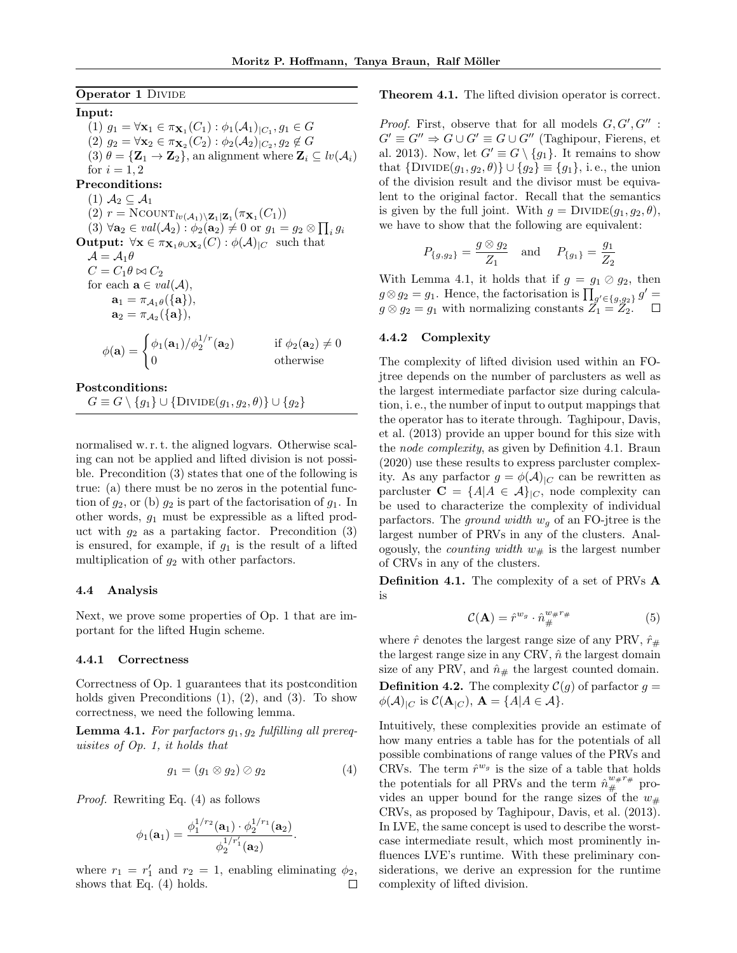**Operator 1 DIVIDE** 

Input: (1)  $g_1 = \forall \mathbf{x}_1 \in \pi_{\mathbf{X}_1}(C_1) : \phi_1(A_1)|_{C_1}, g_1 \in G$ (2)  $g_2 = \forall \mathbf{x}_2 \in \pi_{\mathbf{X}_2}(C_2) : \phi_2(\mathcal{A}_2)|_{C_2}, g_2 \notin G$  $(3)$   $\theta = {\mathbf{Z}_1 \rightarrow \mathbf{Z}_2}$ , an alignment where  $\mathbf{Z}_i \subseteq \textit{lv}(\mathcal{A}_i)$ for  $i = 1, 2$ Preconditions: (1)  $A_2 \subseteq A_1$  $(2)$   $r = \text{NCOUNT}_{lv(\mathcal{A}_1) \setminus \mathbf{Z}_1 | \mathbf{Z}_1}(\pi_{\mathbf{X}_1}(C_1))$  $(3) \ \forall \mathbf{a}_2 \in val(\mathcal{A}_2) : \phi_2(\mathbf{a}_2) \neq 0 \text{ or } g_1 = g_2 \otimes \prod_i g_i$ **Output:**  $\forall \mathbf{x} \in \pi_{\mathbf{X}_1 \theta \cup \mathbf{X}_2}(C) : \phi(\mathcal{A})_{|C}$  such that  $\mathcal{A} = \mathcal{A}_1 \theta$  $C = C_1 \theta \bowtie C_2$ for each  $\mathbf{a} \in val(\mathcal{A}),$  $\mathbf{a}_1 = \pi_{\mathcal{A}_1} \theta(\{\mathbf{a}\}),$  $\mathbf{a}_2 = \pi_{\mathcal{A}_2}(\{\mathbf{a}\}),$  $\phi(\mathbf{a}) = \begin{cases} \phi_1(\mathbf{a}_1)/\phi_2^{1/r} \end{cases}$ if  $\phi_2(\mathbf{a}_2) \neq 0$ <br>otherwise 0 otherwise

### Postconditions:

 $G \equiv G \setminus \{g_1\} \cup \{\text{Divide}(g_1, g_2, \theta)\} \cup \{g_2\}$ 

normalised w. r. t. the aligned logvars. Otherwise scaling can not be applied and lifted division is not possible. Precondition (3) states that one of the following is true: (a) there must be no zeros in the potential function of  $g_2$ , or (b)  $g_2$  is part of the factorisation of  $g_1$ . In other words,  $g_1$  must be expressible as a lifted product with  $g_2$  as a partaking factor. Precondition (3) is ensured, for example, if  $g_1$  is the result of a lifted multiplication of  $g_2$  with other parfactors.

### 4.4 Analysis

Next, we prove some properties of Op. 1 that are important for the lifted Hugin scheme.

#### 4.4.1 Correctness

Correctness of Op. 1 guarantees that its postcondition holds given Preconditions (1), (2), and (3). To show correctness, we need the following lemma.

Lemma 4.1. For parfactors  $g_1, g_2$  fulfilling all prerequisites of Op. 1, it holds that

$$
g_1 = (g_1 \otimes g_2) \oslash g_2 \tag{4}
$$

Proof. Rewriting Eq. (4) as follows

$$
\phi_1(\mathbf{a}_1) = \frac{\phi_1^{1/r_2}(\mathbf{a}_1) \cdot \phi_2^{1/r_1}(\mathbf{a}_2)}{\phi_2^{1/r_1}(\mathbf{a}_2)}.
$$

where  $r_1 = r'_1$  and  $r_2 = 1$ , enabling eliminating  $\phi_2$ , shows that Eq. (4) holds. П

#### Theorem 4.1. The lifted division operator is correct.

*Proof.* First, observe that for all models  $G, G', G''$ :  $G' \equiv G'' \Rightarrow G \cup G' \equiv G \cup G''$  (Taghipour, Fierens, et al. 2013). Now, let  $G' \equiv G \setminus \{g_1\}$ . It remains to show that  $\{DivIDE(g_1, g_2, \theta)\} \cup \{g_2\} \equiv \{g_1\}$ , i.e., the union of the division result and the divisor must be equivalent to the original factor. Recall that the semantics is given by the full joint. With  $g = \text{Divide}(g_1, g_2, \theta)$ , we have to show that the following are equivalent:

$$
P_{\{g,g_2\}} = \frac{g \otimes g_2}{Z_1}
$$
 and  $P_{\{g_1\}} = \frac{g_1}{Z_2}$ 

With Lemma 4.1, it holds that if  $g = g_1 \oslash g_2$ , then  $g \otimes g_2 = g_1$ . Hence, the factorisation is  $\prod_{g' \in \{g, g_2\}} g' =$  $g \otimes g_2 = g_1$  with normalizing constants  $\tilde{Z_1} = \tilde{Z_2}$ .

### 4.4.2 Complexity

The complexity of lifted division used within an FOjtree depends on the number of parclusters as well as the largest intermediate parfactor size during calculation, i. e., the number of input to output mappings that the operator has to iterate through. Taghipour, Davis, et al. (2013) provide an upper bound for this size with the node complexity, as given by Definition 4.1. Braun (2020) use these results to express parcluster complexity. As any parfactor  $g = \phi(\mathcal{A})_{\vert C}$  can be rewritten as parcluster  $C = \{A | A \in \mathcal{A}\}_{{C}}$ , node complexity can be used to characterize the complexity of individual parfactors. The ground width  $w_q$  of an FO-jtree is the largest number of PRVs in any of the clusters. Analogously, the *counting width*  $w_{\#}$  is the largest number of CRVs in any of the clusters.

Definition 4.1. The complexity of a set of PRVs A is

$$
\mathcal{C}(\mathbf{A}) = \hat{r}^{w_g} \cdot \hat{n}_{\#}^{w_{\#}r_{\#}} \tag{5}
$$

where  $\hat{r}$  denotes the largest range size of any PRV,  $\hat{r}_{\#}$ the largest range size in any CRV,  $\hat{n}$  the largest domain size of any PRV, and  $\hat{n}_{\#}$  the largest counted domain. **Definition 4.2.** The complexity  $C(g)$  of parfactor  $g =$  $\phi(\mathcal{A})_{|C}$  is  $\mathcal{C}(\mathbf{A}_{|C}), \mathbf{A} = \{A | A \in \mathcal{A}\}.$ 

Intuitively, these complexities provide an estimate of how many entries a table has for the potentials of all possible combinations of range values of the PRVs and CRVs. The term  $\hat{r}^{w_g}$  is the size of a table that holds the potentials for all PRVs and the term  $\hat{n}^{w \#r\#}_{\#}$  provides an upper bound for the range sizes of the  $w_{\#}$ CRVs, as proposed by Taghipour, Davis, et al. (2013). In LVE, the same concept is used to describe the worstcase intermediate result, which most prominently influences LVE's runtime. With these preliminary considerations, we derive an expression for the runtime complexity of lifted division.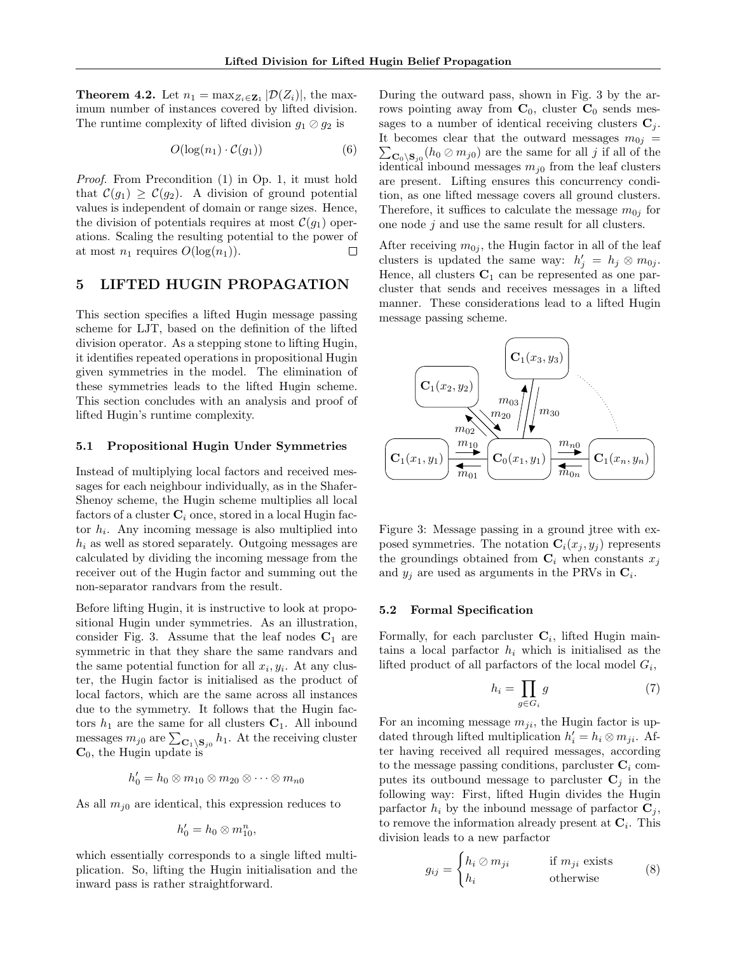**Theorem 4.2.** Let  $n_1 = \max_{Z_i \in \mathbf{Z}_1} |\mathcal{D}(Z_i)|$ , the maximum number of instances covered by lifted division. The runtime complexity of lifted division  $g_1 \oslash g_2$  is

$$
O(\log(n_1) \cdot C(g_1))\tag{6}
$$

Proof. From Precondition (1) in Op. 1, it must hold that  $\mathcal{C}(g_1) \geq \mathcal{C}(g_2)$ . A division of ground potential values is independent of domain or range sizes. Hence, the division of potentials requires at most  $\mathcal{C}(g_1)$  operations. Scaling the resulting potential to the power of at most  $n_1$  requires  $O(\log(n_1)).$  $\Box$ 

# 5 LIFTED HUGIN PROPAGATION

This section specifies a lifted Hugin message passing scheme for LJT, based on the definition of the lifted division operator. As a stepping stone to lifting Hugin, it identifies repeated operations in propositional Hugin given symmetries in the model. The elimination of these symmetries leads to the lifted Hugin scheme. This section concludes with an analysis and proof of lifted Hugin's runtime complexity.

#### 5.1 Propositional Hugin Under Symmetries

Instead of multiplying local factors and received messages for each neighbour individually, as in the Shafer-Shenoy scheme, the Hugin scheme multiplies all local factors of a cluster  $C_i$  once, stored in a local Hugin factor  $h_i$ . Any incoming message is also multiplied into  $h_i$  as well as stored separately. Outgoing messages are calculated by dividing the incoming message from the receiver out of the Hugin factor and summing out the non-separator randvars from the result.

Before lifting Hugin, it is instructive to look at propositional Hugin under symmetries. As an illustration, consider Fig. 3. Assume that the leaf nodes  $C_1$  are symmetric in that they share the same randvars and the same potential function for all  $x_i, y_i$ . At any cluster, the Hugin factor is initialised as the product of local factors, which are the same across all instances due to the symmetry. It follows that the Hugin factors  $h_1$  are the same for all clusters  $C_1$ . All inbound messages  $m_{j0}$  are  $\sum_{\mathbf{C}_1 \backslash \mathbf{S}_{j0}} h_1$ . At the receiving cluster  $C_0$ , the Hugin update is

$$
h'_0 = h_0 \otimes m_{10} \otimes m_{20} \otimes \cdots \otimes m_{n0}
$$

As all  $m_{i0}$  are identical, this expression reduces to

$$
h'_0=h_0\otimes m_{10}^n,
$$

which essentially corresponds to a single lifted multiplication. So, lifting the Hugin initialisation and the inward pass is rather straightforward.

During the outward pass, shown in Fig. 3 by the arrows pointing away from  $C_0$ , cluster  $C_0$  sends messages to a number of identical receiving clusters  $C_j$ . It becomes clear that the outward messages  $m_{0j}$  =  $\sum_{\mathbf{C}_0 \backslash \mathbf{S}_{j0}} (h_0 \oslash m_{j0})$  are the same for all j if all of the identical inbound messages  $m_{i0}$  from the leaf clusters are present. Lifting ensures this concurrency condition, as one lifted message covers all ground clusters. Therefore, it suffices to calculate the message  $m_{0j}$  for one node  $j$  and use the same result for all clusters.

After receiving  $m_{0j}$ , the Hugin factor in all of the leaf clusters is updated the same way:  $h'_j = h_j \otimes m_{0j}$ . Hence, all clusters  $C_1$  can be represented as one parcluster that sends and receives messages in a lifted manner. These considerations lead to a lifted Hugin message passing scheme.



Figure 3: Message passing in a ground jtree with exposed symmetries. The notation  $\mathbf{C}_i(x_i, y_i)$  represents the groundings obtained from  $\mathbf{C}_i$  when constants  $x_j$ and  $y_j$  are used as arguments in the PRVs in  $\mathbf{C}_i$ .

#### 5.2 Formal Specification

Formally, for each parcluster  $\mathbf{C}_i$ , lifted Hugin maintains a local part factor  $h_i$  which is initialised as the lifted product of all parfactors of the local model  $G_i$ ,

$$
h_i = \prod_{g \in G_i} g \tag{7}
$$

For an incoming message  $m_{ji}$ , the Hugin factor is updated through lifted multiplication  $h'_i = h_i \otimes m_{ji}$ . After having received all required messages, according to the message passing conditions, parcluster  $C_i$  computes its outbound message to parcluster  $C_i$  in the following way: First, lifted Hugin divides the Hugin parfactor  $h_i$  by the inbound message of parfactor  $\mathbf{C}_i$ , to remove the information already present at  $\mathbf{C}_i$ . This division leads to a new parfactor

$$
g_{ij} = \begin{cases} h_i \oslash m_{ji} & \text{if } m_{ji} \text{ exists} \\ h_i & \text{otherwise} \end{cases}
$$
 (8)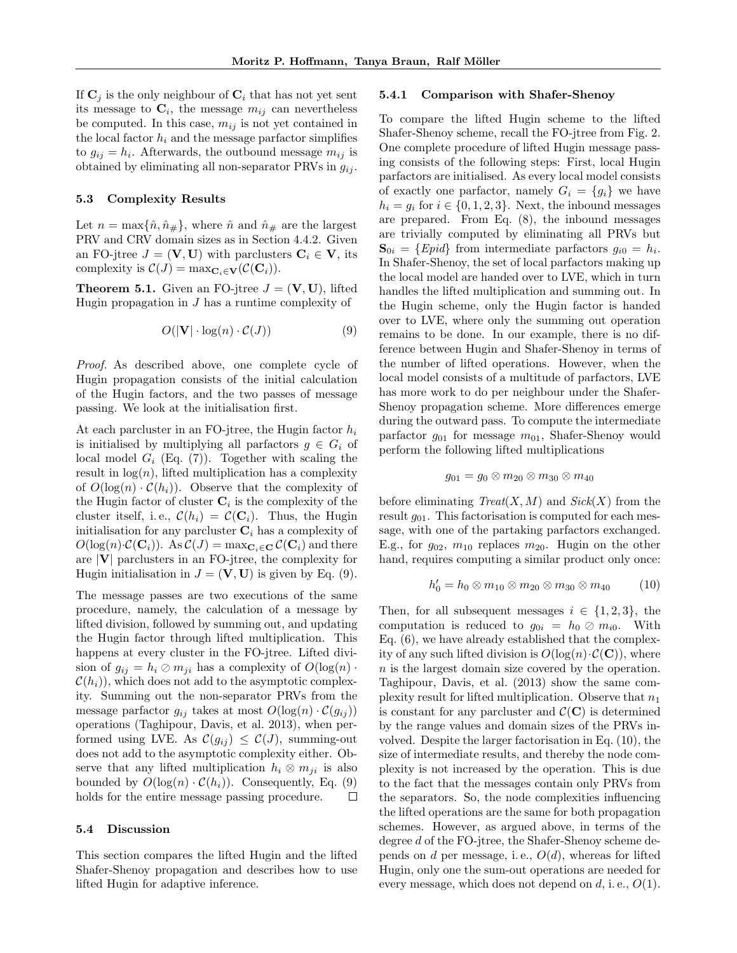If  $\mathbf{C}_j$  is the only neighbour of  $\mathbf{C}_i$  that has not yet sent its message to  $\mathbf{C}_i$ , the message  $m_{ij}$  can nevertheless be computed. In this case,  $m_{ij}$  is not yet contained in the local factor  $h_i$  and the message parfactor simplifies to  $g_{ij} = h_i$ . Afterwards, the outbound message  $m_{ij}$  is obtained by eliminating all non-separator PRVs in  $g_{ij}$ .

#### 5.3 Complexity Results

Let  $n = \max{\{\hat{n}, \hat{n}_\# \}}$ , where  $\hat{n}$  and  $\hat{n}_\#$  are the largest PRV and CRV domain sizes as in Section 4.4.2. Given an FO-jtree  $J = (\mathbf{V}, \mathbf{U})$  with parclusters  $\mathbf{C}_i \in \mathbf{V}$ , its complexity is  $\mathcal{C}(J) = \max_{\mathbf{C}_i \in \mathbf{V}} (\mathcal{C}(\mathbf{C}_i)).$ 

**Theorem 5.1.** Given an FO-jtree  $J = (\mathbf{V}, \mathbf{U})$ , lifted Hugin propagation in  $J$  has a runtime complexity of

$$
O(|\mathbf{V}| \cdot \log(n) \cdot C(J)) \tag{9}
$$

Proof. As described above, one complete cycle of Hugin propagation consists of the initial calculation of the Hugin factors, and the two passes of message passing. We look at the initialisation first.

At each parcluster in an FO-jtree, the Hugin factor  $h_i$ is initialised by multiplying all parfactors  $g \in G_i$  of local model  $G_i$  (Eq. (7)). Together with scaling the result in  $log(n)$ , lifted multiplication has a complexity of  $O(\log(n) \cdot C(h_i))$ . Observe that the complexity of the Hugin factor of cluster  $\mathbf{C}_i$  is the complexity of the cluster itself, i.e.,  $\mathcal{C}(h_i) = \mathcal{C}(\mathbf{C}_i)$ . Thus, the Hugin initialisation for any parcluster  $C_i$  has a complexity of  $O(\log(n)\cdot C(\mathbf{C}_i))$ . As  $C(J) = \max_{\mathbf{C}_i \in \mathbf{C}} C(\mathbf{C}_i)$  and there are |V| parclusters in an FO-jtree, the complexity for Hugin initialisation in  $J = (\mathbf{V}, \mathbf{U})$  is given by Eq. (9).

The message passes are two executions of the same procedure, namely, the calculation of a message by lifted division, followed by summing out, and updating the Hugin factor through lifted multiplication. This happens at every cluster in the FO-jtree. Lifted division of  $g_{ij} = h_i \oslash m_{ji}$  has a complexity of  $O(log(n))$ .  $\mathcal{C}(h_i)$ , which does not add to the asymptotic complexity. Summing out the non-separator PRVs from the message parfactor  $q_{ij}$  takes at most  $O(\log(n) \cdot C(q_{ij}))$ operations (Taghipour, Davis, et al. 2013), when performed using LVE. As  $\mathcal{C}(g_{ii}) \leq \mathcal{C}(J)$ , summing-out does not add to the asymptotic complexity either. Observe that any lifted multiplication  $h_i \otimes m_{ji}$  is also bounded by  $O(log(n) \cdot C(h_i))$ . Consequently, Eq. (9) holds for the entire message passing procedure.  $\Box$ 

### 5.4 Discussion

This section compares the lifted Hugin and the lifted Shafer-Shenoy propagation and describes how to use lifted Hugin for adaptive inference.

#### 5.4.1 Comparison with Shafer-Shenoy

To compare the lifted Hugin scheme to the lifted Shafer-Shenoy scheme, recall the FO-jtree from Fig. 2. One complete procedure of lifted Hugin message passing consists of the following steps: First, local Hugin parfactors are initialised. As every local model consists of exactly one parfactor, namely  $G_i = \{g_i\}$  we have  $h_i = g_i$  for  $i \in \{0, 1, 2, 3\}$ . Next, the inbound messages are prepared. From Eq. (8), the inbound messages are trivially computed by eliminating all PRVs but  $\mathbf{S}_{0i} = \{Epid\}$  from intermediate parfactors  $g_{i0} = h_i$ . In Shafer-Shenoy, the set of local parfactors making up the local model are handed over to LVE, which in turn handles the lifted multiplication and summing out. In the Hugin scheme, only the Hugin factor is handed over to LVE, where only the summing out operation remains to be done. In our example, there is no difference between Hugin and Shafer-Shenoy in terms of the number of lifted operations. However, when the local model consists of a multitude of parfactors, LVE has more work to do per neighbour under the Shafer-Shenoy propagation scheme. More differences emerge during the outward pass. To compute the intermediate parfactor  $g_{01}$  for message  $m_{01}$ , Shafer-Shenoy would perform the following lifted multiplications

$$
g_{01}=g_0\otimes m_{20}\otimes m_{30}\otimes m_{40}
$$

before eliminating  $Treat(X, M)$  and  $Sick(X)$  from the result  $g_{01}$ . This factorisation is computed for each message, with one of the partaking parfactors exchanged. E.g., for  $g_{02}$ ,  $m_{10}$  replaces  $m_{20}$ . Hugin on the other hand, requires computing a similar product only once:

$$
h'_0 = h_0 \otimes m_{10} \otimes m_{20} \otimes m_{30} \otimes m_{40}
$$
 (10)

Then, for all subsequent messages  $i \in \{1,2,3\}$ , the computation is reduced to  $g_{0i} = h_0 \otimes m_{i0}$ . With Eq. (6), we have already established that the complexity of any such lifted division is  $O(\log(n) \cdot C(C))$ , where n is the largest domain size covered by the operation. Taghipour, Davis, et al. (2013) show the same complexity result for lifted multiplication. Observe that  $n_1$ is constant for any parcluster and  $\mathcal{C}(\mathbf{C})$  is determined by the range values and domain sizes of the PRVs involved. Despite the larger factorisation in Eq. (10), the size of intermediate results, and thereby the node complexity is not increased by the operation. This is due to the fact that the messages contain only PRVs from the separators. So, the node complexities influencing the lifted operations are the same for both propagation schemes. However, as argued above, in terms of the degree d of the FO-jtree, the Shafer-Shenoy scheme depends on d per message, i.e.,  $O(d)$ , whereas for lifted Hugin, only one the sum-out operations are needed for every message, which does not depend on  $d$ , i.e.,  $O(1)$ .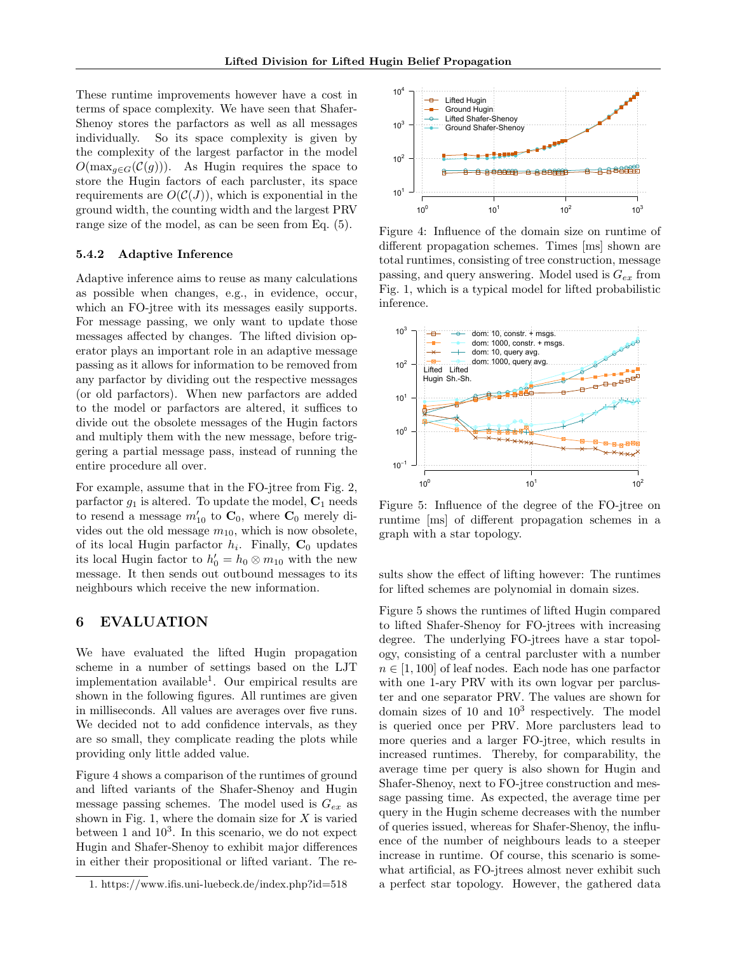These runtime improvements however have a cost in terms of space complexity. We have seen that Shafer-Shenoy stores the parfactors as well as all messages individually. So its space complexity is given by the complexity of the largest parfactor in the model  $O(\max_{g \in G}(\mathcal{C}(g)))$ . As Hugin requires the space to store the Hugin factors of each parcluster, its space requirements are  $O(C(J))$ , which is exponential in the ground width, the counting width and the largest PRV range size of the model, as can be seen from Eq. (5).

### 5.4.2 Adaptive Inference

Adaptive inference aims to reuse as many calculations as possible when changes, e.g., in evidence, occur, which an FO-jtree with its messages easily supports. For message passing, we only want to update those messages affected by changes. The lifted division operator plays an important role in an adaptive message passing as it allows for information to be removed from any parfactor by dividing out the respective messages (or old parfactors). When new parfactors are added to the model or parfactors are altered, it suffices to divide out the obsolete messages of the Hugin factors and multiply them with the new message, before triggering a partial message pass, instead of running the entire procedure all over.

For example, assume that in the FO-jtree from Fig. 2, parfactor  $g_1$  is altered. To update the model,  $C_1$  needs to resend a message  $m'_{10}$  to  $C_0$ , where  $C_0$  merely divides out the old message  $m_{10}$ , which is now obsolete, of its local Hugin parfactor  $h_i$ . Finally,  $C_0$  updates its local Hugin factor to  $h'_0 = h_0 \otimes m_{10}$  with the new message. It then sends out outbound messages to its neighbours which receive the new information.

# 6 EVALUATION

We have evaluated the lifted Hugin propagation scheme in a number of settings based on the LJT implementation available<sup>1</sup> . Our empirical results are shown in the following figures. All runtimes are given in milliseconds. All values are averages over five runs. We decided not to add confidence intervals, as they are so small, they complicate reading the plots while providing only little added value.

Figure 4 shows a comparison of the runtimes of ground and lifted variants of the Shafer-Shenoy and Hugin message passing schemes. The model used is  $G_{ex}$  as shown in Fig. 1, where the domain size for  $X$  is varied between 1 and  $10<sup>3</sup>$ . In this scenario, we do not expect Hugin and Shafer-Shenoy to exhibit major differences in either their propositional or lifted variant. The re-



Figure 4: Influence of the domain size on runtime of different propagation schemes. Times [ms] shown are total runtimes, consisting of tree construction, message passing, and query answering. Model used is  $G_{ex}$  from Fig. 1, which is a typical model for lifted probabilistic inference.



Figure 5: Influence of the degree of the FO-jtree on runtime [ms] of different propagation schemes in a graph with a star topology.

sults show the effect of lifting however: The runtimes for lifted schemes are polynomial in domain sizes.

Figure 5 shows the runtimes of lifted Hugin compared to lifted Shafer-Shenoy for FO-jtrees with increasing degree. The underlying FO-jtrees have a star topology, consisting of a central parcluster with a number  $n \in [1, 100]$  of leaf nodes. Each node has one parfactor with one 1-ary PRV with its own logvar per parcluster and one separator PRV. The values are shown for domain sizes of 10 and  $10^3$  respectively. The model is queried once per PRV. More parclusters lead to more queries and a larger FO-jtree, which results in increased runtimes. Thereby, for comparability, the average time per query is also shown for Hugin and Shafer-Shenoy, next to FO-jtree construction and message passing time. As expected, the average time per query in the Hugin scheme decreases with the number of queries issued, whereas for Shafer-Shenoy, the influence of the number of neighbours leads to a steeper increase in runtime. Of course, this scenario is somewhat artificial, as FO-jtrees almost never exhibit such a perfect star topology. However, the gathered data

<sup>1.</sup> https://www.ifis.uni-luebeck.de/index.php?id=518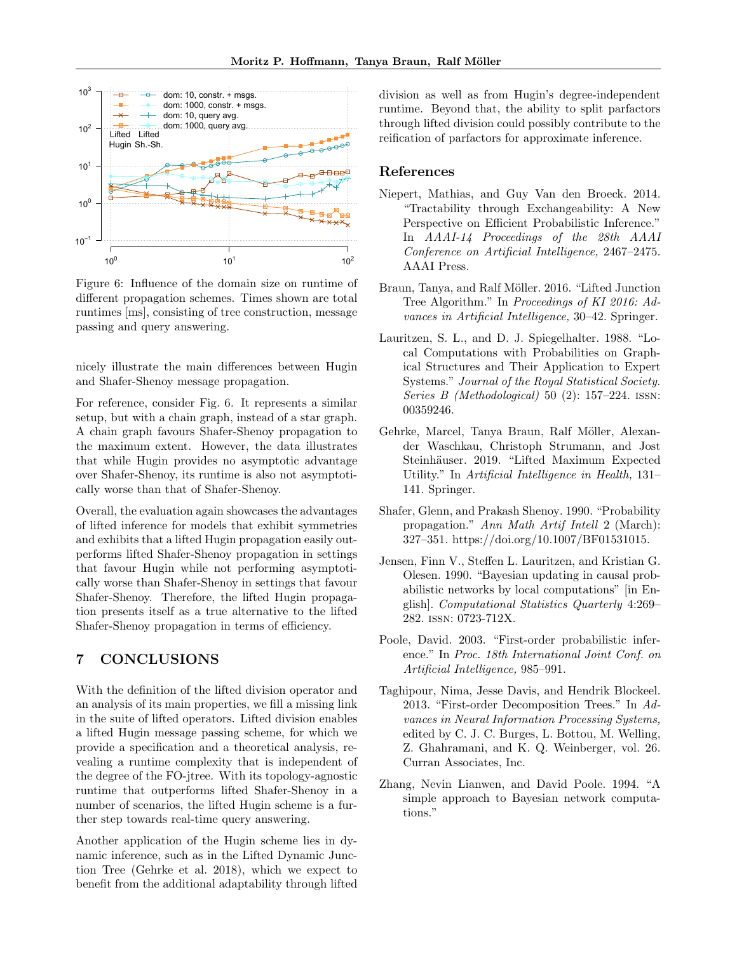

Figure 6: Influence of the domain size on runtime of different propagation schemes. Times shown are total runtimes [ms], consisting of tree construction, message passing and query answering.

nicely illustrate the main differences between Hugin and Shafer-Shenoy message propagation.

For reference, consider Fig. 6. It represents a similar setup, but with a chain graph, instead of a star graph. A chain graph favours Shafer-Shenoy propagation to the maximum extent. However, the data illustrates that while Hugin provides no asymptotic advantage over Shafer-Shenoy, its runtime is also not asymptotically worse than that of Shafer-Shenoy.

Overall, the evaluation again showcases the advantages of lifted inference for models that exhibit symmetries and exhibits that a lifted Hugin propagation easily outperforms lifted Shafer-Shenoy propagation in settings that favour Hugin while not performing asymptotically worse than Shafer-Shenoy in settings that favour Shafer-Shenoy. Therefore, the lifted Hugin propagation presents itself as a true alternative to the lifted Shafer-Shenoy propagation in terms of efficiency.

# 7 CONCLUSIONS

With the definition of the lifted division operator and an analysis of its main properties, we fill a missing link in the suite of lifted operators. Lifted division enables a lifted Hugin message passing scheme, for which we provide a specification and a theoretical analysis, revealing a runtime complexity that is independent of the degree of the FO-jtree. With its topology-agnostic runtime that outperforms lifted Shafer-Shenoy in a number of scenarios, the lifted Hugin scheme is a further step towards real-time query answering.

Another application of the Hugin scheme lies in dynamic inference, such as in the Lifted Dynamic Junction Tree (Gehrke et al. 2018), which we expect to benefit from the additional adaptability through lifted division as well as from Hugin's degree-independent runtime. Beyond that, the ability to split parfactors through lifted division could possibly contribute to the reification of parfactors for approximate inference.

### References

- Niepert, Mathias, and Guy Van den Broeck. 2014. "Tractability through Exchangeability: A New Perspective on Efficient Probabilistic Inference." In AAAI-14 Proceedings of the 28th AAAI Conference on Artificial Intelligence, 2467–2475. AAAI Press.
- Braun, Tanya, and Ralf Möller. 2016. "Lifted Junction Tree Algorithm." In Proceedings of KI 2016: Advances in Artificial Intelligence, 30–42. Springer.
- Lauritzen, S. L., and D. J. Spiegelhalter. 1988. "Local Computations with Probabilities on Graphical Structures and Their Application to Expert Systems." Journal of the Royal Statistical Society. Series B (Methodological) 50 (2): 157–224. issn: 00359246.
- Gehrke, Marcel, Tanya Braun, Ralf Möller, Alexander Waschkau, Christoph Strumann, and Jost Steinhäuser. 2019. "Lifted Maximum Expected Utility." In Artificial Intelligence in Health, 131– 141. Springer.
- Shafer, Glenn, and Prakash Shenoy. 1990. "Probability propagation." Ann Math Artif Intell 2 (March): 327–351. https://doi.org/10.1007/BF01531015.
- Jensen, Finn V., Steffen L. Lauritzen, and Kristian G. Olesen. 1990. "Bayesian updating in causal probabilistic networks by local computations" [in English]. Computational Statistics Quarterly 4:269– 282. issn: 0723-712X.
- Poole, David. 2003. "First-order probabilistic inference." In Proc. 18th International Joint Conf. on Artificial Intelligence, 985–991.
- Taghipour, Nima, Jesse Davis, and Hendrik Blockeel. 2013. "First-order Decomposition Trees." In Advances in Neural Information Processing Systems, edited by C. J. C. Burges, L. Bottou, M. Welling, Z. Ghahramani, and K. Q. Weinberger, vol. 26. Curran Associates, Inc.
- Zhang, Nevin Lianwen, and David Poole. 1994. "A simple approach to Bayesian network computations."